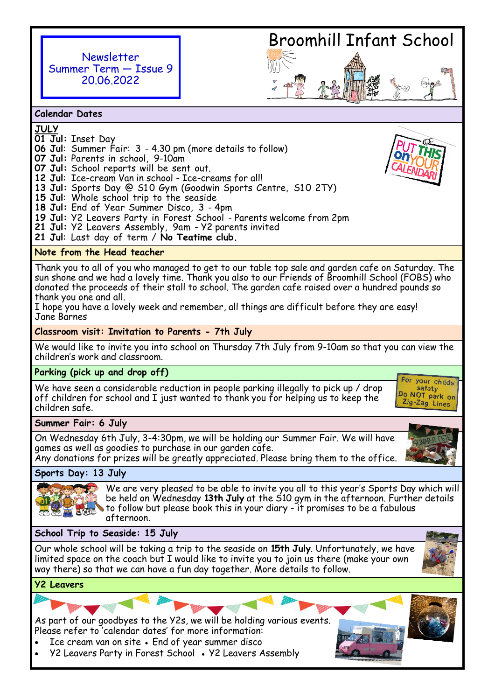



**Calendar Dates**

- **JULY**
- **01 Jul:** Inset Day
- **06 Jul**: Summer Fair: 3 4.30 pm (more details to follow)
- **07 Jul:** Parents in school, 9-10am
- **07 Jul:** School reports will be sent out.
- **12 Jul**: Ice-cream Van in school Ice-creams for all!
- 13 Jul: Sports Day @ S10 Gym (Goodwin Sports Centre, S10 2TY)
- **15 Jul**: Whole school trip to the seaside
- **18 Jul:** End of Year Summer Disco, 3 4pm
- **19 Jul:** Y2 Leavers Party in Forest School Parents welcome from 2pm
- **21 Jul:** Y2 Leavers Assembly, 9am Y2 parents invited
- **21 Jul**: Last day of term / **No Teatime club.**

## **Note from the Head teacher**

Thank you to all of you who managed to get to our table top sale and garden cafe on Saturday. The sun shone and we had a lovely time. Thank you also to our Friends of Broomhill School (FOBS) who donated the proceeds of their stall to school. The garden cafe raised over a hundred pounds so thank you one and all.

I hope you have a lovely week and remember, all things are difficult before they are easy! Jane Barnes

### **Classroom visit: Invitation to Parents - 7th July**

We would like to invite you into school on Thursday 7th July from 9-10am so that you can view the children's work and classroom.

## **Parking (pick up and drop off)**

We have seen a considerable reduction in people parking illegally to pick up / drop off children for school and I just wanted to thank you for helping us to keep the children safe.

For your childs safety Do NOT park on Zig-Zag Lines

# **Summer Fair: 6 July**

On Wednesday 6th July, 3-4:30pm, we will be holding our Summer Fair. We will have games as well as goodies to purchase in our garden cafe. Any donations for prizes will be greatly appreciated. Please bring them to the office.

**Sports Day: 13 July**



We are very pleased to be able to invite you all to this year's Sports Day which will be held on Wednesday 13th July at the S10 gym in the afternoon. Further details to follow but please book this in your diary - it promises to be a fabulous afternoon.

## **School Trip to Seaside: 15 July**

Our whole school will be taking a trip to the seaside on **15th July**. Unfortunately, we have limited space on the coach but I would like to invite you to join us there (make your own way there) so that we can have a fun day together. More details to follow.

## **Y2 Leavers**

As part of our goodbyes to the Y2s, we will be holding various events. Please refer to 'calendar dates' for more information:

- Ice cream van on site End of year summer disco
- Y2 Leavers Party in Forest School Y2 Leavers Assembly